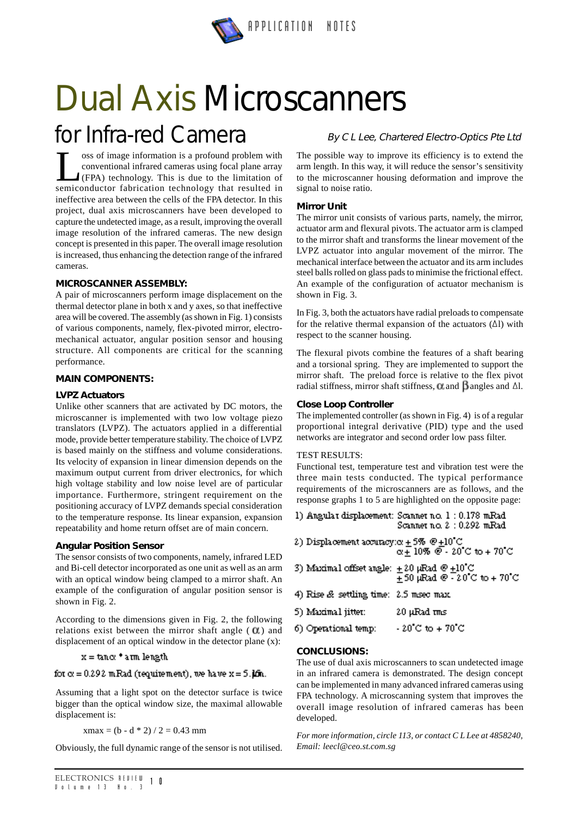

# *Dual Axis Microscanners*

# *for Infra-red Camera*

**Less of image information is a profound problem with**<br>
conventional infrared cameras using focal plane array<br>
(FPA) technology. This is due to the limitation of<br>
semiconductor fabrication technology that resulted in conventional infrared cameras using focal plane array semiconductor fabrication technology that resulted in ineffective area between the cells of the FPA detector. In this project, dual axis microscanners have been developed to capture the undetected image, as a result, improving the overall image resolution of the infrared cameras. The new design concept is presented in this paper. The overall image resolution is increased, thus enhancing the detection range of the infrared cameras.

# **MICROSCANNER ASSEMBLY:**

A pair of microscanners perform image displacement on the thermal detector plane in both x and y axes, so that ineffective area will be covered. The assembly (as shown in Fig. 1) consists of various components, namely, flex-pivoted mirror, electromechanical actuator, angular position sensor and housing structure. All components are critical for the scanning performance.

# **MAIN COMPONENTS:**

#### **LVPZ Actuators**

Unlike other scanners that are activated by DC motors, the microscanner is implemented with two low voltage piezo translators (LVPZ). The actuators applied in a differential mode, provide better temperature stability. The choice of LVPZ is based mainly on the stiffness and volume considerations. Its velocity of expansion in linear dimension depends on the maximum output current from driver electronics, for which high voltage stability and low noise level are of particular importance. Furthermore, stringent requirement on the positioning accuracy of LVPZ demands special consideration to the temperature response. Its linear expansion, expansion repeatability and home return offset are of main concern.

#### **Angular Position Sensor**

The sensor consists of two components, namely, infrared LED and Bi-cell detector incorporated as one unit as well as an arm with an optical window being clamped to a mirror shaft. An example of the configuration of angular position sensor is shown in Fig. 2.

According to the dimensions given in Fig. 2, the following relations exist between the mirror shaft angle  $( 0 )$  and displacement of an optical window in the detector plane (x):

# $x = \tan \alpha$  \* arm length

#### for  $\alpha = 0.292$  mRad (requirement), we have  $x = 5$ . If  $n$ .

Assuming that a light spot on the detector surface is twice bigger than the optical window size, the maximal allowable displacement is:

 $x$ max = (b - d  $*$  2) / 2 = 0.43 mm

Obviously, the full dynamic range of the sensor is not utilised.

# *By C L Lee, Chartered Electro-Optics Pte Ltd*

The possible way to improve its efficiency is to extend the arm length. In this way, it will reduce the sensor's sensitivity to the microscanner housing deformation and improve the signal to noise ratio.

# **Mirror Unit**

The mirror unit consists of various parts, namely, the mirror, actuator arm and flexural pivots. The actuator arm is clamped to the mirror shaft and transforms the linear movement of the LVPZ actuator into angular movement of the mirror. The mechanical interface between the actuator and its arm includes steel balls rolled on glass pads to minimise the frictional effect. An example of the configuration of actuator mechanism is shown in Fig. 3.

In Fig. 3, both the actuators have radial preloads to compensate for the relative thermal expansion of the actuators  $(\Delta l)$  with respect to the scanner housing.

The flexural pivots combine the features of a shaft bearing and a torsional spring. They are implemented to support the mirror shaft. The preload force is relative to the flex pivot radial stiffness, mirror shaft stiffness,  $\alpha$  and  $\beta$  angles and  $\Delta l$ .

# **Close Loop Controller**

The implemented controller (as shown in Fig. 4) is of a regular proportional integral derivative (PID) type and the used networks are integrator and second order low pass filter.

#### TEST RESULTS:

Functional test, temperature test and vibration test were the three main tests conducted. The typical performance requirements of the microscanners are as follows, and the response graphs 1 to 5 are highlighted on the opposite page:

1) Angular displacement: Scanner no. 1 : 0.178 mRad Scanner no. 2 : 0.292 mRad

2) Displacement accuracy: $\alpha \pm 5\%$  @  $\pm 10\degree$ C a + 10% @ - 20˚C to + 70˚C

- 3) Maximal offset angle:  $\pm 20$  µRad @  $\pm 10^{\circ}$ C + 50 mRad @ - 20˚C to + 70˚C
- 4) Rise & settling time: 2.5 msec max.

| 5) Maximal jitter: | 20 µ.Rad <del>m</del> usi |
|--------------------|---------------------------|
|--------------------|---------------------------|

| 6) Operational temp: | $-20\,^{\circ}\mathrm{C}$ to $+70\,^{\circ}\mathrm{C}$ |
|----------------------|--------------------------------------------------------|
|----------------------|--------------------------------------------------------|

# **CONCLUSIONS:**

The use of dual axis microscanners to scan undetected image in an infrared camera is demonstrated. The design concept can be implemented in many advanced infrared cameras using FPA technology. A microscanning system that improves the overall image resolution of infrared cameras has been developed.

*For more information, circle 113, or contact C L Lee at 4858240, Email: leecl@ceo.st.com.sg*